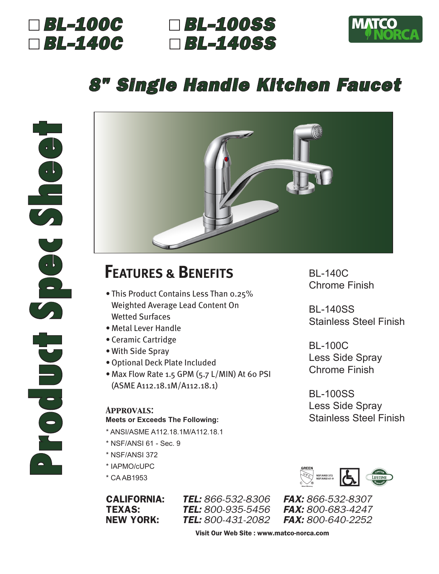

### *BL-100C BL-100SS BL-140C BL-140SS*



# *8" Single Handle Kitchen Faucet*



## **FEATURES & BENEFITS**

- This Product Contains Less Than 0.25% Weighted Average Lead Content On Wetted Surfaces
- Metal Lever Handle
- Ceramic Cartridge
- With Side Spray
- •Optional Deck Plate Included
- Max Flow Rate 1.5 GPM (5.7 L/MIN) At 60 PSI (ASME A112.18.1M/A112.18.1)

#### *Approvals:* **Meets or Exceeds The Following:**

- \* ANSI/ASME A112.18.1M/A112.18.1
- \* NSF/ANSI 61 Sec. 9
- \* NSF/ANSI 372
- \* IAPMO/cUPC
- \* CA AB1953

CALIFORNIA: *TEL: 866-532-8306 FAX: 866-532-8307* NEW YORK: *TEL: 800-431-2082 FAX: 800-640-2252*

BL-140C Chrome Finish

BL-140SS Stainless Steel Finish

BL-100C Less Side Spray Chrome Finish

BL-100SS Less Side Spray Stainless Steel Finish



TEXAS: *TEL: 800-935-5456 FAX: 800-683-4247*

Visit Our Web Site : www.matco-norca.com